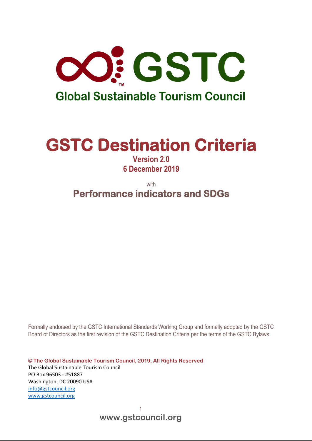

# **GSTC Destination Criteria**

**Version 2.0 6 December 2019**

with **Performance indicators and SDGs** 

Formally endorsed by the GSTC International Standards Working Group and formally adopted by the GSTC Board of Directors as the first revision of the GSTC Destination Criteria per the terms of the GSTC Bylaws

**© The Global Sustainable Tourism Council, 2019, All Rights Reserved** The Global Sustainable Tourism Council PO Box 96503 - #51887 Washington, DC 20090 USA [info@gstcouncil.org](mailto:info@gstcouncil.org) [www.gstcouncil.org](http://www.gstcouncil.org/)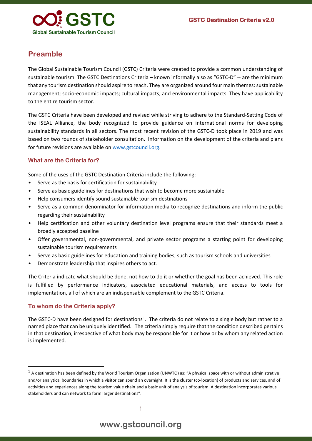

### **Preamble**

The Global Sustainable Tourism Council (GSTC) Criteria were created to provide a common understanding of sustainable tourism. The GSTC Destinations Criteria – known informally also as "GSTC-D" -- are the minimum that any tourism destination should aspire to reach. They are organized around four main themes: sustainable management; socio-economic impacts; cultural impacts; and environmental impacts. They have applicability to the entire tourism sector.

The GSTC Criteria have been developed and revised while striving to adhere to the Standard-Setting Code of the ISEAL Alliance, the body recognized to provide guidance on international norms for developing sustainability standards in all sectors. The most recent revision of the GSTC-D took place in 2019 and was based on two rounds of stakeholder consultation. Information on the development of the criteria and plans for future revisions are available on [www.gstcouncil.org.](http://www.gstcouncil.org/)

#### **What are the Criteria for?**

Some of the uses of the GSTC Destination Criteria include the following:

- Serve as the basis for certification for sustainability
- Serve as basic guidelines for destinations that wish to become more sustainable
- Help consumers identify sound sustainable tourism destinations
- Serve as a common denominator for information media to recognize destinations and inform the public regarding their sustainability
- Help certification and other voluntary destination level programs ensure that their standards meet a broadly accepted baseline
- Offer governmental, non-governmental, and private sector programs a starting point for developing sustainable tourism requirements
- Serve as basic guidelines for education and training bodies, such as tourism schools and universities
- Demonstrate leadership that inspires others to act.

The Criteria indicate what should be done, not how to do it or whether the goal has been achieved. This role is fulfilled by performance indicators, associated educational materials, and access to tools for implementation, all of which are an indispensable complement to the GSTC Criteria.

#### **To whom do the Criteria apply?**

The GSTC-D have been designed for destinations<sup>[1](#page-1-0)</sup>. The criteria do not relate to a single body but rather to a named place that can be uniquely identified. The criteria simply require that the condition described pertains in that destination, irrespective of what body may be responsible for it or how or by whom any related action is implemented.

<span id="page-1-0"></span> $1$  A destination has been defined by the World Tourism Organization (UNWTO) as: "A physical space with or without administrative and/or analytical boundaries in which a visitor can spend an overnight. It is the cluster (co-location) of products and services, and of activities and experiences along the tourism value chain and a basic unit of analysis of tourism. A destination incorporates various stakeholders and can network to form larger destinations".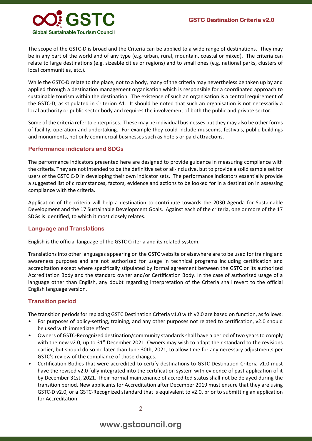

The scope of the GSTC-D is broad and the Criteria can be applied to a wide range of destinations. They may be in any part of the world and of any type (e.g. urban, rural, mountain, coastal or mixed). The criteria can relate to large destinations (e.g. sizeable cities or regions) and to small ones (e.g. national parks, clusters of local communities, etc.).

While the GSTC-D relate to the place, not to a body, many of the criteria may nevertheless be taken up by and applied through a destination management organisation which is responsible for a coordinated approach to sustainable tourism within the destination. The existence of such an organisation is a central requirement of the GSTC-D, as stipulated in Criterion A1. It should be noted that such an organisation is not necessarily a local authority or public sector body and requires the involvement of both the public and private sector.

Some of the criteria refer to enterprises. These may be individual businesses but they may also be other forms of facility, operation and undertaking. For example they could include museums, festivals, public buildings and monuments, not only commercial businesses such as hotels or paid attractions.

#### **Performance indicators and SDGs**

The performance indicators presented here are designed to provide guidance in measuring compliance with the criteria. They are not intended to be the definitive set or all-inclusive, but to provide a solid sample set for users of the GSTC C-D in developing their own indicator sets. The performance indicators essentially provide a suggested list of circumstances, factors, evidence and actions to be looked for in a destination in assessing compliance with the criteria.

Application of the criteria will help a destination to contribute towards the 2030 Agenda for Sustainable Development and the 17 Sustainable Development Goals. Against each of the criteria, one or more of the 17 SDGs is identified, to which it most closely relates.

#### **Language and Translations**

English is the official language of the GSTC Criteria and its related system.

Translations into other languages appearing on the GSTC website or elsewhere are to be used for training and awareness purposes and are not authorized for usage in technical programs including certification and accreditation except where specifically stipulated by formal agreement between the GSTC or its authorized Accreditation Body and the standard owner and/or Certification Body. In the case of authorized usage of a language other than English, any doubt regarding interpretation of the Criteria shall revert to the official English language version.

#### **Transition period**

The transition periods for replacing GSTC Destination Criteria v1.0 with v2.0 are based on function, as follows:

- For purposes of policy-setting, training, and any other purposes not related to certification, v2.0 should be used with immediate effect
- Owners of GSTC-Recognized destination/community standards shall have a period of two years to comply with the new v2.0, up to  $31<sup>st</sup>$  December 2021. Owners may wish to adapt their standard to the revisions earlier, but should do so no later than June 30th, 2021, to allow time for any necessary adjustments per GSTC's review of the compliance of those changes.
- Certification Bodies that were accredited to certify destinations to GSTC Destination Criteria v1.0 must have the revised v2.0 fully integrated into the certification system with evidence of past application of it by December 31st, 2021. Their normal maintenance of accredited status shall not be delayed during the transition period. New applicants for Accreditation after December 2019 must ensure that they are using GSTC-D v2.0, or a GSTC-Recognized standard that is equivalent to v2.0, prior to submitting an application for Accreditation.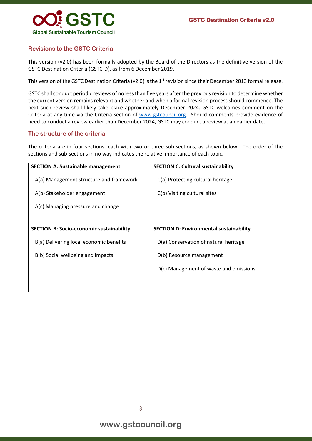

#### **Revisions to the GSTC Criteria**

This version (v2.0) has been formally adopted by the Board of the Directors as the definitive version of the GSTC Destination Criteria (GSTC-D), as from 6 December 2019.

This version of the GSTC Destination Criteria (v2.0) is the 1<sup>st</sup> revision since their December 2013 formal release.

GSTC shall conduct periodic reviews of no less than five years after the previous revision to determine whether the current version remains relevant and whether and when a formal revision process should commence. The next such review shall likely take place approximately December 2024. GSTC welcomes comment on the Criteria at any time via the Criteria section of [www.gstcouncil.org.](http://www.gstcouncil.org/) Should comments provide evidence of need to conduct a review earlier than December 2024, GSTC may conduct a review at an earlier date.

#### **The structure of the criteria**

The criteria are in four sections, each with two or three sub-sections, as shown below. The order of the sections and sub-sections in no way indicates the relative importance of each topic.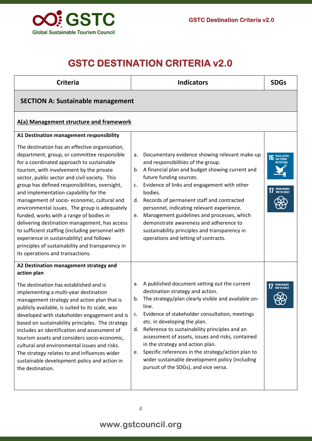

## **GSTC DESTINATION CRITERIA v2.0**

| <b>Criteria</b>                                                                                                                                                                                                                                                                                                                                                                                                                                                                                                                                                                                                                                                                                                                | <b>Indicators</b>                                                                                                                                                                                                                                                                                                                                                                                                                                                                                                                     | <b>SDGs</b>                                                   |
|--------------------------------------------------------------------------------------------------------------------------------------------------------------------------------------------------------------------------------------------------------------------------------------------------------------------------------------------------------------------------------------------------------------------------------------------------------------------------------------------------------------------------------------------------------------------------------------------------------------------------------------------------------------------------------------------------------------------------------|---------------------------------------------------------------------------------------------------------------------------------------------------------------------------------------------------------------------------------------------------------------------------------------------------------------------------------------------------------------------------------------------------------------------------------------------------------------------------------------------------------------------------------------|---------------------------------------------------------------|
| <b>SECTION A: Sustainable management</b>                                                                                                                                                                                                                                                                                                                                                                                                                                                                                                                                                                                                                                                                                       |                                                                                                                                                                                                                                                                                                                                                                                                                                                                                                                                       |                                                               |
| A(a) Management structure and framework                                                                                                                                                                                                                                                                                                                                                                                                                                                                                                                                                                                                                                                                                        |                                                                                                                                                                                                                                                                                                                                                                                                                                                                                                                                       |                                                               |
| A1 Destination management responsibility<br>The destination has an effective organization,<br>department, group, or committee responsible<br>for a coordinated approach to sustainable<br>tourism, with involvement by the private<br>sector, public sector and civil society. This<br>group has defined responsibilities, oversight,<br>and implementation capability for the<br>management of socio-economic, cultural and<br>environmental issues. The group is adequately<br>funded, works with a range of bodies in<br>delivering destination management, has access<br>to sufficient staffing (including personnel with<br>experience in sustainability) and follows<br>principles of sustainability and transparency in | Documentary evidence showing relevant make-up<br>а.<br>and responsibilities of the group.<br>A financial plan and budget showing current and<br>b.<br>future funding sources.<br>Evidence of links and engagement with other<br>c.<br>bodies.<br>Records of permanent staff and contracted<br>d.<br>personnel, indicating relevant experience.<br>Management guidelines and processes, which<br>e.<br>demonstrate awareness and adherence to<br>sustainability principles and transparency in<br>operations and letting of contracts. | PEACE, JUSTICI<br>AND STRONG<br>PARTNERSHIPS<br>For the Goals |
| its operations and transactions.<br>A2 Destination management strategy and<br>action plan<br>The destination has established and is<br>implementing a multi-year destination<br>management strategy and action plan that is<br>publicly available, is suited to its scale, was<br>developed with stakeholder engagement and is<br>based on sustainability principles. The strategy<br>includes an identification and assessment of<br>tourism assets and considers socio-economic,<br>cultural and environmental issues and risks.                                                                                                                                                                                             | A published document setting out the current<br>a.<br>destination strategy and action.<br>The strategy/plan clearly visible and available on-<br>b.<br>line.<br>Evidence of stakeholder consultation, meetings<br>c.<br>etc. in developing the plan.<br>Reference to sustainability principles and an<br>d.<br>assessment of assets, issues and risks, contained<br>in the strategy and action plan.                                                                                                                                  | PARTNERSHIPS<br>For the Goals                                 |
| The strategy relates to and influences wider<br>sustainable development policy and action in<br>the destination.                                                                                                                                                                                                                                                                                                                                                                                                                                                                                                                                                                                                               | Specific references in the strategy/action plan to<br>e.<br>wider sustainable development policy (including<br>pursuit of the SDGs), and vice versa.                                                                                                                                                                                                                                                                                                                                                                                  |                                                               |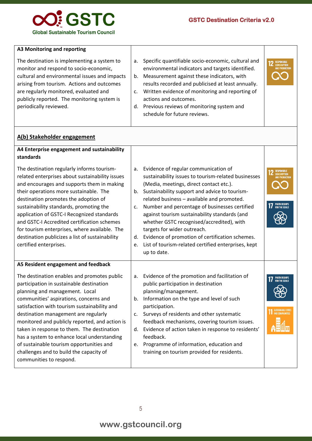

| A3 Monitoring and reporting                                                                                                                                                                                                                                                                             |                |                                                                                                                                                                                                                                                                                                                                                                     |                                                            |
|---------------------------------------------------------------------------------------------------------------------------------------------------------------------------------------------------------------------------------------------------------------------------------------------------------|----------------|---------------------------------------------------------------------------------------------------------------------------------------------------------------------------------------------------------------------------------------------------------------------------------------------------------------------------------------------------------------------|------------------------------------------------------------|
| The destination is implementing a system to<br>monitor and respond to socio-economic,<br>cultural and environmental issues and impacts<br>arising from tourism. Actions and outcomes<br>are regularly monitored, evaluated and<br>publicly reported. The monitoring system is<br>periodically reviewed. | а.<br>b.<br>d. | Specific quantifiable socio-economic, cultural and<br>environmental indicators and targets identified.<br>Measurement against these indicators, with<br>results recorded and publicised at least annually.<br>Written evidence of monitoring and reporting of<br>actions and outcomes.<br>Previous reviews of monitoring system and<br>schedule for future reviews. | <b>RESPONSIBLE</b><br>CONSUMPTION<br><b>AND PRODUCTION</b> |

#### **A(b) Stakeholder engagement**

| A4 Enterprise engagement and sustainability                                                                                                                                                                                                                                                                                                                                                                                                                                                                                  |                      |                                                                                                                                                                                                                                                                                                                                                                                                                                           |                               |
|------------------------------------------------------------------------------------------------------------------------------------------------------------------------------------------------------------------------------------------------------------------------------------------------------------------------------------------------------------------------------------------------------------------------------------------------------------------------------------------------------------------------------|----------------------|-------------------------------------------------------------------------------------------------------------------------------------------------------------------------------------------------------------------------------------------------------------------------------------------------------------------------------------------------------------------------------------------------------------------------------------------|-------------------------------|
| standards                                                                                                                                                                                                                                                                                                                                                                                                                                                                                                                    |                      |                                                                                                                                                                                                                                                                                                                                                                                                                                           |                               |
| The destination regularly informs tourism-<br>related enterprises about sustainability issues<br>and encourages and supports them in making<br>their operations more sustainable. The<br>destination promotes the adoption of<br>sustainability standards, promoting the<br>application of GSTC-I Recognized standards                                                                                                                                                                                                       | а.<br>b.<br>c.       | Evidence of regular communication of<br>sustainability issues to tourism-related businesses<br>(Media, meetings, direct contact etc.).<br>Sustainability support and advice to tourism-<br>related business - available and promoted.<br>Number and percentage of businesses certified<br>against tourism sustainability standards (and                                                                                                   | 2 RESPONSIBLE                 |
| and GSTC-I Accredited certification schemes<br>for tourism enterprises, where available. The                                                                                                                                                                                                                                                                                                                                                                                                                                 |                      | whether GSTC recognised/accredited), with<br>targets for wider outreach.                                                                                                                                                                                                                                                                                                                                                                  |                               |
| destination publicizes a list of sustainability                                                                                                                                                                                                                                                                                                                                                                                                                                                                              | d.                   | Evidence of promotion of certification schemes.                                                                                                                                                                                                                                                                                                                                                                                           |                               |
| certified enterprises.                                                                                                                                                                                                                                                                                                                                                                                                                                                                                                       | e.                   | List of tourism-related certified enterprises, kept<br>up to date.                                                                                                                                                                                                                                                                                                                                                                        |                               |
| A5 Resident engagement and feedback                                                                                                                                                                                                                                                                                                                                                                                                                                                                                          |                      |                                                                                                                                                                                                                                                                                                                                                                                                                                           |                               |
| The destination enables and promotes public<br>participation in sustainable destination<br>planning and management. Local<br>communities' aspirations, concerns and<br>satisfaction with tourism sustainability and<br>destination management are regularly<br>monitored and publicly reported, and action is<br>taken in response to them. The destination<br>has a system to enhance local understanding<br>of sustainable tourism opportunities and<br>challenges and to build the capacity of<br>communities to respond. | a.<br>b.<br>C.<br>e. | Evidence of the promotion and facilitation of<br>public participation in destination<br>planning/management.<br>Information on the type and level of such<br>participation.<br>Surveys of residents and other systematic<br>feedback mechanisms, covering tourism issues.<br>d. Evidence of action taken in response to residents'<br>feedback.<br>Programme of information, education and<br>training on tourism provided for residents. | PARTNERSHIPS<br>For the Goals |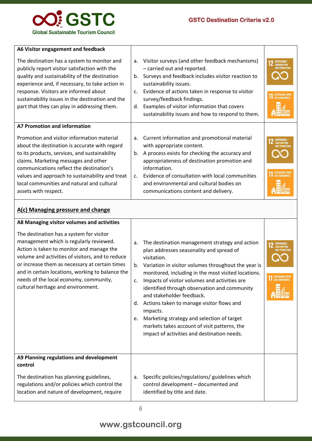

| A6 Visitor engagement and feedback                                                                                                                                                                                                                                                                                                                        |                                        |                                                                                                                                                                                                                                                                                                                                                    |                                        |
|-----------------------------------------------------------------------------------------------------------------------------------------------------------------------------------------------------------------------------------------------------------------------------------------------------------------------------------------------------------|----------------------------------------|----------------------------------------------------------------------------------------------------------------------------------------------------------------------------------------------------------------------------------------------------------------------------------------------------------------------------------------------------|----------------------------------------|
| The destination has a system to monitor and<br>publicly report visitor satisfaction with the<br>quality and sustainability of the destination<br>experience and, if necessary, to take action in<br>response. Visitors are informed about<br>sustainability issues in the destination and the<br>part that they can play in addressing them.              | a.<br>$b_{\cdot}$<br>$C_{\star}$<br>d. | Visitor surveys (and other feedback mechanisms)<br>- carried out and reported.<br>Surveys and feedback includes visitor reaction to<br>sustainability issues.<br>Evidence of actions taken in response to visitor<br>survey/feedback findings.<br>Examples of visitor information that covers<br>sustainability issues and how to respond to them. | <b>RESPONSIBLE</b><br>SUSTAINARLE CITY |
| A7 Promotion and information                                                                                                                                                                                                                                                                                                                              |                                        |                                                                                                                                                                                                                                                                                                                                                    |                                        |
| Promotion and visitor information material<br>about the destination is accurate with regard<br>to its products, services, and sustainability<br>claims. Marketing messages and other<br>communications reflect the destination's<br>values and approach to sustainability and treat<br>local communities and natural and cultural<br>assets with respect. | a.<br>b.<br>$\mathsf{C}$ .             | Current information and promotional material<br>with appropriate content.<br>A process exists for checking the accuracy and<br>appropriateness of destination promotion and<br>information.<br>Evidence of consultation with local communities<br>and environmental and cultural bodies on<br>communications content and delivery.                 | RESPONSIBLE<br><b>AND COMMUNITIES</b>  |
| A(c) Managing pressure and change                                                                                                                                                                                                                                                                                                                         |                                        |                                                                                                                                                                                                                                                                                                                                                    |                                        |

| A8 Managing visitor volumes and activities<br>The destination has a system for visitor<br>management which is regularly reviewed.<br>Action is taken to monitor and manage the<br>volume and activities of visitors, and to reduce<br>or increase them as necessary at certain times<br>and in certain locations, working to balance the<br>needs of the local economy, community,<br>cultural heritage and environment. | a.<br>b.<br>$C_{\star}$<br>d.<br>e. | The destination management strategy and action<br>plan addresses seasonality and spread of<br>visitation.<br>Variation in visitor volumes throughout the year is<br>monitored, including in the most visited locations.<br>Impacts of visitor volumes and activities are<br>identified through observation and community<br>and stakeholder feedback.<br>Actions taken to manage visitor flows and<br>impacts.<br>Marketing strategy and selection of target<br>markets takes account of visit patterns, the<br>impact of activities and destination needs. | RESPONSIBLE<br>CONSUMPTION<br>AND PRODUCTIO<br><b>AND COMMUNITIES</b> |
|--------------------------------------------------------------------------------------------------------------------------------------------------------------------------------------------------------------------------------------------------------------------------------------------------------------------------------------------------------------------------------------------------------------------------|-------------------------------------|-------------------------------------------------------------------------------------------------------------------------------------------------------------------------------------------------------------------------------------------------------------------------------------------------------------------------------------------------------------------------------------------------------------------------------------------------------------------------------------------------------------------------------------------------------------|-----------------------------------------------------------------------|
| A9 Planning regulations and development<br>control                                                                                                                                                                                                                                                                                                                                                                       |                                     |                                                                                                                                                                                                                                                                                                                                                                                                                                                                                                                                                             |                                                                       |
| The destination has planning guidelines,<br>regulations and/or policies which control the<br>location and nature of development, require                                                                                                                                                                                                                                                                                 | a.                                  | Specific policies/regulations/ guidelines which<br>control development - documented and<br>identified by title and date.                                                                                                                                                                                                                                                                                                                                                                                                                                    |                                                                       |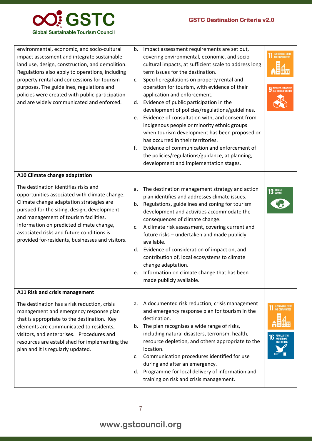

| environmental, economic, and socio-cultural<br>impact assessment and integrate sustainable<br>land use, design, construction, and demolition.<br>Regulations also apply to operations, including<br>property rental and concessions for tourism<br>purposes. The guidelines, regulations and<br>policies were created with public participation<br>and are widely communicated and enforced. | b.<br>c.<br>d.<br>e.<br>f. | Impact assessment requirements are set out,<br>covering environmental, economic, and socio-<br>cultural impacts, at sufficient scale to address long<br>term issues for the destination.<br>Specific regulations on property rental and<br>operation for tourism, with evidence of their<br>application and enforcement.<br>Evidence of public participation in the<br>development of policies/regulations/guidelines.<br>Evidence of consultation with, and consent from<br>indigenous people or minority ethnic groups<br>when tourism development has been proposed or<br>has occurred in their territories.<br>Evidence of communication and enforcement of<br>the policies/regulations/guidance, at planning,<br>development and implementation stages. |                                                   |
|----------------------------------------------------------------------------------------------------------------------------------------------------------------------------------------------------------------------------------------------------------------------------------------------------------------------------------------------------------------------------------------------|----------------------------|--------------------------------------------------------------------------------------------------------------------------------------------------------------------------------------------------------------------------------------------------------------------------------------------------------------------------------------------------------------------------------------------------------------------------------------------------------------------------------------------------------------------------------------------------------------------------------------------------------------------------------------------------------------------------------------------------------------------------------------------------------------|---------------------------------------------------|
| A10 Climate change adaptation                                                                                                                                                                                                                                                                                                                                                                |                            |                                                                                                                                                                                                                                                                                                                                                                                                                                                                                                                                                                                                                                                                                                                                                              |                                                   |
| The destination identifies risks and<br>opportunities associated with climate change.<br>Climate change adaptation strategies are<br>pursued for the siting, design, development<br>and management of tourism facilities.<br>Information on predicted climate change,<br>associated risks and future conditions is<br>provided for-residents, businesses and visitors.                       | a.<br>b.<br>c.<br>d.<br>e. | The destination management strategy and action<br>plan identifies and addresses climate issues.<br>Regulations, guidelines and zoning for tourism<br>development and activities accommodate the<br>consequences of climate change.<br>A climate risk assessment, covering current and<br>future risks - undertaken and made publicly<br>available.<br>Evidence of consideration of impact on, and<br>contribution of, local ecosystems to climate<br>change adaptation.<br>Information on climate change that has been<br>made publicly available.                                                                                                                                                                                                           | $13$ $\frac{CLIMATE}{ACTION}$                     |
| A11 Risk and crisis management                                                                                                                                                                                                                                                                                                                                                               |                            |                                                                                                                                                                                                                                                                                                                                                                                                                                                                                                                                                                                                                                                                                                                                                              |                                                   |
| The destination has a risk reduction, crisis<br>management and emergency response plan<br>that is appropriate to the destination. Key<br>elements are communicated to residents,<br>visitors, and enterprises. Procedures and<br>resources are established for implementing the<br>plan and it is regularly updated.                                                                         | a.<br>b.<br>c.<br>d.       | A documented risk reduction, crisis management<br>and emergency response plan for tourism in the<br>destination.<br>The plan recognises a wide range of risks,<br>including natural disasters, terrorism, health,<br>resource depletion, and others appropriate to the<br>location.<br>Communication procedures identified for use<br>during and after an emergency.<br>Programme for local delivery of information and<br>training on risk and crisis management.                                                                                                                                                                                                                                                                                           | SUSTAINABLE CITIES<br>PEACE, JUSTIN<br>AND STRONG |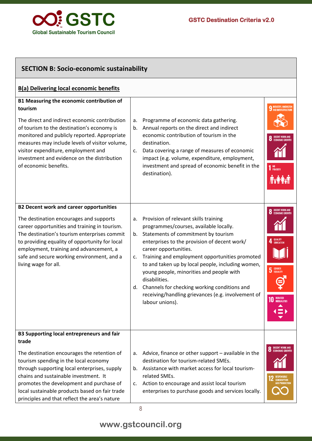

| <b>SECTION B: Socio-economic sustainability</b>                                                                                                                                                                                                                                                                                                                                            |                      |                                                                                                                                                                                                                                                                                                                                                                                                                                                                                              |                                                                                         |  |
|--------------------------------------------------------------------------------------------------------------------------------------------------------------------------------------------------------------------------------------------------------------------------------------------------------------------------------------------------------------------------------------------|----------------------|----------------------------------------------------------------------------------------------------------------------------------------------------------------------------------------------------------------------------------------------------------------------------------------------------------------------------------------------------------------------------------------------------------------------------------------------------------------------------------------------|-----------------------------------------------------------------------------------------|--|
| <b>B(a) Delivering local economic benefits</b>                                                                                                                                                                                                                                                                                                                                             |                      |                                                                                                                                                                                                                                                                                                                                                                                                                                                                                              |                                                                                         |  |
| B1 Measuring the economic contribution of<br>tourism<br>The direct and indirect economic contribution<br>of tourism to the destination's economy is<br>monitored and publicly reported. Appropriate<br>measures may include levels of visitor volume,<br>visitor expenditure, employment and<br>investment and evidence on the distribution<br>of economic benefits.                       | a.<br>b.<br>C.       | Programme of economic data gathering.<br>Annual reports on the direct and indirect<br>economic contribution of tourism in the<br>destination.<br>Data covering a range of measures of economic<br>impact (e.g. volume, expenditure, employment,<br>investment and spread of economic benefit in the<br>destination).                                                                                                                                                                         | NO<br>Poverty                                                                           |  |
| <b>B2 Decent work and career opportunities</b><br>The destination encourages and supports<br>career opportunities and training in tourism.<br>The destination's tourism enterprises commit<br>to providing equality of opportunity for local<br>employment, training and advancement, a<br>safe and secure working environment, and a<br>living wage for all.                              | a.<br>b.<br>c.<br>d. | Provision of relevant skills training<br>programmes/courses, available locally.<br>Statements of commitment by tourism<br>enterprises to the provision of decent work/<br>career opportunities.<br>Training and employment opportunities promoted<br>to and taken up by local people, including women,<br>young people, minorities and people with<br>disabilities.<br>Channels for checking working conditions and<br>receiving/handling grievances (e.g. involvement of<br>labour unions). | QUALITY<br>EDUCATIOI<br>5 GENDER<br>REDUCED<br><b>INEQUALITIES</b>                      |  |
| <b>B3 Supporting local entrepreneurs and fair</b><br>trade<br>The destination encourages the retention of<br>tourism spending in the local economy<br>through supporting local enterprises, supply<br>chains and sustainable investment. It<br>promotes the development and purchase of<br>local sustainable products based on fair trade<br>principles and that reflect the area's nature | a.<br>b.<br>c.       | Advice, finance or other support - available in the<br>destination for tourism-related SMEs.<br>Assistance with market access for local tourism-<br>related SMEs.<br>Action to encourage and assist local tourism<br>enterprises to purchase goods and services locally.                                                                                                                                                                                                                     | <b>DECENT WORK AND</b><br><b>ECONOMIC GROWTH</b><br><b>CONSUMPTION</b><br>AND PRODUCTIO |  |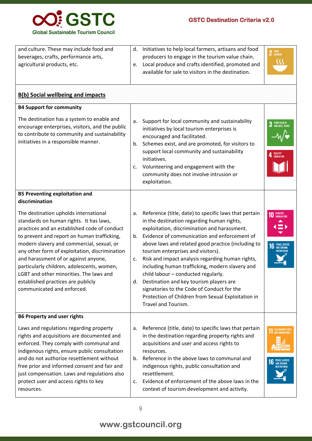

| and culture. These may include food and<br>beverages, crafts, performance arts,<br>agricultural products, etc.                                                                                                                                                                                                                                                                                                                                                                      | d.<br>e.                   | Initiatives to help local farmers, artisans and food<br>producers to engage in the tourism value chain.<br>Local produce and crafts identified, promoted and<br>available for sale to visitors in the destination.                                                                                                                                                                                                                                                                                                                                                                                                  | $2$ $\frac{\text{RRO}}{\text{HUNGER}}$                  |
|-------------------------------------------------------------------------------------------------------------------------------------------------------------------------------------------------------------------------------------------------------------------------------------------------------------------------------------------------------------------------------------------------------------------------------------------------------------------------------------|----------------------------|---------------------------------------------------------------------------------------------------------------------------------------------------------------------------------------------------------------------------------------------------------------------------------------------------------------------------------------------------------------------------------------------------------------------------------------------------------------------------------------------------------------------------------------------------------------------------------------------------------------------|---------------------------------------------------------|
| <b>B(b) Social wellbeing and impacts</b>                                                                                                                                                                                                                                                                                                                                                                                                                                            |                            |                                                                                                                                                                                                                                                                                                                                                                                                                                                                                                                                                                                                                     |                                                         |
| <b>B4 Support for community</b>                                                                                                                                                                                                                                                                                                                                                                                                                                                     |                            |                                                                                                                                                                                                                                                                                                                                                                                                                                                                                                                                                                                                                     |                                                         |
| The destination has a system to enable and<br>encourage enterprises, visitors, and the public<br>to contribute to community and sustainability<br>initiatives in a responsible manner.                                                                                                                                                                                                                                                                                              | a.<br>b.<br>c.             | Support for local community and sustainability<br>initiatives by local tourism enterprises is<br>encouraged and facilitated.<br>Schemes exist, and are promoted, for visitors to<br>support local community and sustainability<br>initiatives.<br>Volunteering and engagement with the<br>community does not involve intrusion or<br>exploitation.                                                                                                                                                                                                                                                                  | GOOD HEALTH<br>And Well-Being<br>QUALITY<br>Education   |
| <b>B5 Preventing exploitation and</b><br>discrimination                                                                                                                                                                                                                                                                                                                                                                                                                             |                            |                                                                                                                                                                                                                                                                                                                                                                                                                                                                                                                                                                                                                     |                                                         |
| The destination upholds international<br>standards on human rights. It has laws,<br>practices and an established code of conduct<br>to prevent and report on human trafficking,<br>modern slavery and commercial, sexual, or<br>any other form of exploitation, discrimination<br>and harassment of or against anyone,<br>particularly children, adolescents, women,<br>LGBT and other minorities. The laws and<br>established practices are publicly<br>communicated and enforced. | a.<br>b.<br>c.<br>d.       | Reference (title, date) to specific laws that pertain<br>in the destination regarding human rights,<br>exploitation, discrimination and harassment.<br>Evidence of communication and enforcement of<br>above laws and related good practice (including to<br>tourism enterprises and visitors).<br>Risk and impact analysis regarding human rights,<br>including human trafficking, modern slavery and<br>child labour - conducted regularly.<br>Destination and key tourism players are<br>signatories to the Code of Conduct for the<br>Protection of Children from Sexual Exploitation in<br>Travel and Tourism. | REDUCED<br>INEQUALITIES<br>PEACE, JUSTICI<br>And Strong |
| <b>B6 Property and user rights</b>                                                                                                                                                                                                                                                                                                                                                                                                                                                  |                            |                                                                                                                                                                                                                                                                                                                                                                                                                                                                                                                                                                                                                     |                                                         |
| Laws and regulations regarding property<br>rights and acquisitions are documented and<br>enforced. They comply with communal and<br>indigenous rights, ensure public consultation<br>and do not authorize resettlement without<br>free prior and informed consent and fair and<br>just compensation. Laws and regulations also<br>protect user and access rights to key<br>resources.                                                                                               | а.<br>b.<br>$\mathsf{C}$ . | Reference (title, date) to specific laws that pertain<br>in the destination regarding property rights and<br>acquisitions and user and access rights to<br>resources.<br>Reference in the above laws to communal and<br>indigenous rights, public consultation and<br>resettlement.<br>Evidence of enforcement of the above laws in the<br>context of tourism development and activity.                                                                                                                                                                                                                             |                                                         |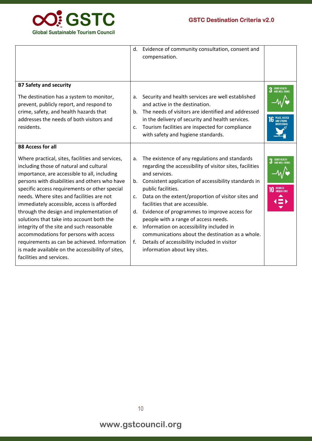

|                                                                                                                                                                                                                                                                                                                                                                                                                                                                                                                                                                                                                                                                                      | d.                               | Evidence of community consultation, consent and<br>compensation.                                                                                                                                                                                                                                                                                                                                                                                                                                                                                                           |                                          |
|--------------------------------------------------------------------------------------------------------------------------------------------------------------------------------------------------------------------------------------------------------------------------------------------------------------------------------------------------------------------------------------------------------------------------------------------------------------------------------------------------------------------------------------------------------------------------------------------------------------------------------------------------------------------------------------|----------------------------------|----------------------------------------------------------------------------------------------------------------------------------------------------------------------------------------------------------------------------------------------------------------------------------------------------------------------------------------------------------------------------------------------------------------------------------------------------------------------------------------------------------------------------------------------------------------------------|------------------------------------------|
| <b>B7 Safety and security</b><br>The destination has a system to monitor,<br>prevent, publicly report, and respond to<br>crime, safety, and health hazards that<br>addresses the needs of both visitors and<br>residents.                                                                                                                                                                                                                                                                                                                                                                                                                                                            | а.<br>b.<br>C <sub>1</sub>       | Security and health services are well established<br>and active in the destination.<br>The needs of visitors are identified and addressed<br>in the delivery of security and health services.<br>Tourism facilities are inspected for compliance<br>with safety and hygiene standards.                                                                                                                                                                                                                                                                                     | 3 GOOD HEALTH<br>3 AND WELL-BEING        |
| <b>B8 Access for all</b><br>Where practical, sites, facilities and services,<br>including those of natural and cultural<br>importance, are accessible to all, including<br>persons with disabilities and others who have<br>specific access requirements or other special<br>needs. Where sites and facilities are not<br>immediately accessible, access is afforded<br>through the design and implementation of<br>solutions that take into account both the<br>integrity of the site and such reasonable<br>accommodations for persons with access<br>requirements as can be achieved. Information<br>is made available on the accessibility of sites,<br>facilities and services. | a.<br>b.<br>c.<br>d.<br>e.<br>f. | The existence of any regulations and standards<br>regarding the accessibility of visitor sites, facilities<br>and services.<br>Consistent application of accessibility standards in<br>public facilities.<br>Data on the extent/proportion of visitor sites and<br>facilities that are accessible.<br>Evidence of programmes to improve access for<br>people with a range of access needs.<br>Information on accessibility included in<br>communications about the destination as a whole.<br>Details of accessibility included in visitor<br>information about key sites. | 3 GOOD HEALTH<br>REDUCED<br>Inequalities |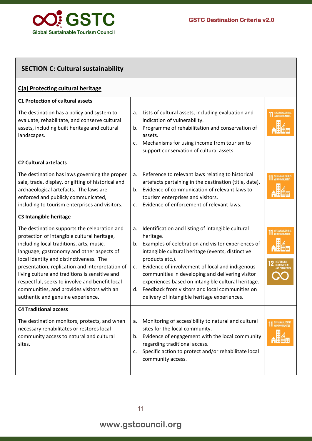

| <b>SECTION C: Cultural sustainability</b>                                                                                                                                                                                                                                                                                                                                                                                                                                                           |                                                                                                                                                                                                                                                                                                                                                                                                                                                                                      |                                                             |  |  |
|-----------------------------------------------------------------------------------------------------------------------------------------------------------------------------------------------------------------------------------------------------------------------------------------------------------------------------------------------------------------------------------------------------------------------------------------------------------------------------------------------------|--------------------------------------------------------------------------------------------------------------------------------------------------------------------------------------------------------------------------------------------------------------------------------------------------------------------------------------------------------------------------------------------------------------------------------------------------------------------------------------|-------------------------------------------------------------|--|--|
| C(a) Protecting cultural heritage                                                                                                                                                                                                                                                                                                                                                                                                                                                                   |                                                                                                                                                                                                                                                                                                                                                                                                                                                                                      |                                                             |  |  |
| <b>C1 Protection of cultural assets</b><br>The destination has a policy and system to<br>evaluate, rehabilitate, and conserve cultural<br>assets, including built heritage and cultural<br>landscapes.                                                                                                                                                                                                                                                                                              | Lists of cultural assets, including evaluation and<br>a.<br>indication of vulnerability.<br>Programme of rehabilitation and conservation of<br>b.<br>assets.<br>Mechanisms for using income from tourism to<br>c.<br>support conservation of cultural assets.                                                                                                                                                                                                                        |                                                             |  |  |
| <b>C2 Cultural artefacts</b><br>The destination has laws governing the proper<br>sale, trade, display, or gifting of historical and<br>archaeological artefacts. The laws are<br>enforced and publicly communicated,<br>including to tourism enterprises and visitors.                                                                                                                                                                                                                              | Reference to relevant laws relating to historical<br>a.<br>artefacts pertaining in the destination (title, date).<br>Evidence of communication of relevant laws to<br>b.<br>tourism enterprises and visitors.<br>Evidence of enforcement of relevant laws.<br>c.                                                                                                                                                                                                                     |                                                             |  |  |
| C3 Intangible heritage<br>The destination supports the celebration and<br>protection of intangible cultural heritage,<br>including local traditions, arts, music,<br>language, gastronomy and other aspects of<br>local identity and distinctiveness. The<br>presentation, replication and interpretation of<br>living culture and traditions is sensitive and<br>respectful, seeks to involve and benefit local<br>communities, and provides visitors with an<br>authentic and genuine experience. | Identification and listing of intangible cultural<br>a.<br>heritage.<br>Examples of celebration and visitor experiences of<br>b.<br>intangible cultural heritage (events, distinctive<br>products etc.).<br>Evidence of involvement of local and indigenous<br>c.<br>communities in developing and delivering visitor<br>experiences based on intangible cultural heritage.<br>Feedback from visitors and local communities on<br>d.<br>delivery of intangible heritage experiences. | <b>SUSTAINABLE CITIES</b><br>AND COMMUNITIES<br>CONSUMPTION |  |  |
| <b>C4 Traditional access</b><br>The destination monitors, protects, and when<br>necessary rehabilitates or restores local<br>community access to natural and cultural<br>sites.                                                                                                                                                                                                                                                                                                                     | Monitoring of accessibility to natural and cultural<br>a.<br>sites for the local community.<br>Evidence of engagement with the local community<br>b.<br>regarding traditional access.<br>Specific action to protect and/or rehabilitate local<br>c.<br>community access.                                                                                                                                                                                                             | AND COMMUNITIES                                             |  |  |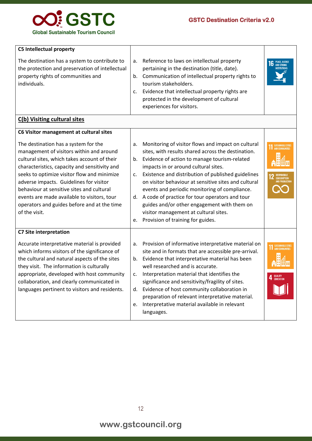

| <b>C5 Intellectual property</b>                                                                                                                                                                                                                                                                                                                                                                                                                                                    |                            |                                                                                                                                                                                                                                                                                                                                                                                                                                                                                                                                                |                                                                  |
|------------------------------------------------------------------------------------------------------------------------------------------------------------------------------------------------------------------------------------------------------------------------------------------------------------------------------------------------------------------------------------------------------------------------------------------------------------------------------------|----------------------------|------------------------------------------------------------------------------------------------------------------------------------------------------------------------------------------------------------------------------------------------------------------------------------------------------------------------------------------------------------------------------------------------------------------------------------------------------------------------------------------------------------------------------------------------|------------------------------------------------------------------|
| The destination has a system to contribute to<br>the protection and preservation of intellectual<br>property rights of communities and<br>individuals.                                                                                                                                                                                                                                                                                                                             | a.<br>b.<br>c.             | Reference to laws on intellectual property<br>pertaining in the destination (title, date).<br>Communication of intellectual property rights to<br>tourism stakeholders.<br>Evidence that intellectual property rights are<br>protected in the development of cultural<br>experiences for visitors.                                                                                                                                                                                                                                             | <b>PEACE, JUSTICE</b><br><b>AND STRONG</b><br><b>NSTITUTIONS</b> |
| C(b) Visiting cultural sites                                                                                                                                                                                                                                                                                                                                                                                                                                                       |                            |                                                                                                                                                                                                                                                                                                                                                                                                                                                                                                                                                |                                                                  |
| C6 Visitor management at cultural sites<br>The destination has a system for the<br>management of visitors within and around<br>cultural sites, which takes account of their<br>characteristics, capacity and sensitivity and<br>seeks to optimize visitor flow and minimize<br>adverse impacts. Guidelines for visitor<br>behaviour at sensitive sites and cultural<br>events are made available to visitors, tour<br>operators and guides before and at the time<br>of the visit. | a.<br>b.<br>c.<br>d.<br>e. | Monitoring of visitor flows and impact on cultural<br>sites, with results shared across the destination.<br>Evidence of action to manage tourism-related<br>impacts in or around cultural sites.<br>Existence and distribution of published guidelines<br>on visitor behaviour at sensitive sites and cultural<br>events and periodic monitoring of compliance.<br>A code of practice for tour operators and tour<br>guides and/or other engagement with them on<br>visitor management at cultural sites.<br>Provision of training for guides. | <b>CONSUMPTION</b><br><b><i>AND PRODUCTION</i></b>               |
| <b>C7 Site interpretation</b><br>Accurate interpretative material is provided<br>which informs visitors of the significance of<br>the cultural and natural aspects of the sites<br>they visit. The information is culturally<br>appropriate, developed with host community<br>collaboration, and clearly communicated in<br>languages pertinent to visitors and residents.                                                                                                         | a.<br>b.<br>c.<br>d.       | Provision of informative interpretative material on<br>site and in formats that are accessible pre-arrival.<br>Evidence that interpretative material has been<br>well researched and is accurate.<br>Interpretation material that identifies the<br>significance and sensitivity/fragility of sites.<br>Evidence of host community collaboration in<br>preparation of relevant interpretative material.                                                                                                                                        | <b>QUALITY</b><br><b>T</b> EDUCATION                             |
|                                                                                                                                                                                                                                                                                                                                                                                                                                                                                    | е.                         | Interpretative material available in relevant<br>languages.                                                                                                                                                                                                                                                                                                                                                                                                                                                                                    |                                                                  |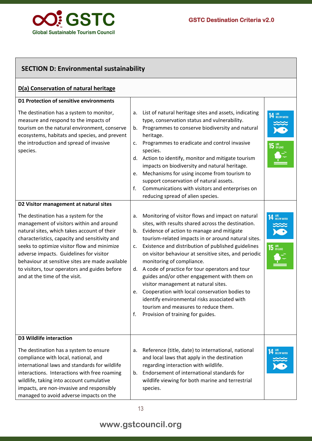

| <b>SECTION D: Environmental sustainability</b>                                                                                                                                                                                                                                                                                                                                                                                                            |                                                                                                                                                                                                                                                                                                                                                                                                                                                                                                                                                                                                                                                                                                                 |                                                          |  |  |  |
|-----------------------------------------------------------------------------------------------------------------------------------------------------------------------------------------------------------------------------------------------------------------------------------------------------------------------------------------------------------------------------------------------------------------------------------------------------------|-----------------------------------------------------------------------------------------------------------------------------------------------------------------------------------------------------------------------------------------------------------------------------------------------------------------------------------------------------------------------------------------------------------------------------------------------------------------------------------------------------------------------------------------------------------------------------------------------------------------------------------------------------------------------------------------------------------------|----------------------------------------------------------|--|--|--|
| D(a) Conservation of natural heritage                                                                                                                                                                                                                                                                                                                                                                                                                     |                                                                                                                                                                                                                                                                                                                                                                                                                                                                                                                                                                                                                                                                                                                 |                                                          |  |  |  |
| D1 Protection of sensitive environments<br>The destination has a system to monitor,<br>measure and respond to the impacts of<br>tourism on the natural environment, conserve<br>ecosystems, habitats and species, and prevent<br>the introduction and spread of invasive<br>species.                                                                                                                                                                      | List of natural heritage sites and assets, indicating<br>a.<br>type, conservation status and vulnerability.<br>Programmes to conserve biodiversity and natural<br>b.<br>heritage.<br>Programmes to eradicate and control invasive<br>c.<br>species.<br>Action to identify, monitor and mitigate tourism<br>d.<br>impacts on biodiversity and natural heritage.<br>Mechanisms for using income from tourism to<br>e.<br>support conservation of natural assets.                                                                                                                                                                                                                                                  | <b>14 LIFE</b> BELOW WATER<br>$15$ $\frac{LIF}{ON LAND}$ |  |  |  |
|                                                                                                                                                                                                                                                                                                                                                                                                                                                           | Communications with visitors and enterprises on<br>f.<br>reducing spread of alien species.                                                                                                                                                                                                                                                                                                                                                                                                                                                                                                                                                                                                                      |                                                          |  |  |  |
| D2 Visitor management at natural sites<br>The destination has a system for the<br>management of visitors within and around<br>natural sites, which takes account of their<br>characteristics, capacity and sensitivity and<br>seeks to optimize visitor flow and minimize<br>adverse impacts. Guidelines for visitor<br>behaviour at sensitive sites are made available<br>to visitors, tour operators and guides before<br>and at the time of the visit. | Monitoring of visitor flows and impact on natural<br>a.<br>sites, with results shared across the destination.<br>Evidence of action to manage and mitigate<br>b.<br>tourism-related impacts in or around natural sites.<br>Existence and distribution of published guidelines<br>c.<br>on visitor behaviour at sensitive sites, and periodic<br>monitoring of compliance.<br>A code of practice for tour operators and tour<br>d.<br>guides and/or other engagement with them on<br>visitor management at natural sites.<br>e. Cooperation with local conservation bodies to<br>identify environmental risks associated with<br>tourism and measures to reduce them.<br>Provision of training for guides.<br>f. | LIFE<br>BELOW WATER<br>$15$ $\frac{UFE}{ON LAND}$        |  |  |  |
| <b>D3 Wildlife interaction</b><br>The destination has a system to ensure<br>compliance with local, national, and<br>international laws and standards for wildlife<br>interactions. Interactions with free roaming<br>wildlife, taking into account cumulative<br>impacts, are non-invasive and responsibly<br>managed to avoid adverse impacts on the                                                                                                     | Reference (title, date) to international, national<br>а.<br>and local laws that apply in the destination<br>regarding interaction with wildlife.<br>Endorsement of international standards for<br>b.<br>wildlife viewing for both marine and terrestrial<br>species.                                                                                                                                                                                                                                                                                                                                                                                                                                            | <b>14 LIFE</b> BELOW WATER                               |  |  |  |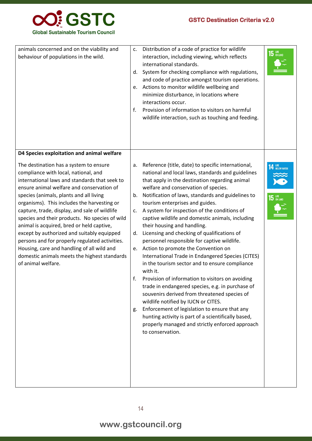

| animals concerned and on the viability and<br>behaviour of populations in the wild.                                                                                                                                                                                                                                                                                                                                                                                                                                                                                                                                                        | c.<br>d.<br>e.<br>f.                   | Distribution of a code of practice for wildlife<br>interaction, including viewing, which reflects<br>international standards.<br>System for checking compliance with regulations,<br>and code of practice amongst tourism operations.<br>Actions to monitor wildlife wellbeing and<br>minimize disturbance, in locations where<br>interactions occur.<br>Provision of information to visitors on harmful<br>wildlife interaction, such as touching and feeding.                                                                                                                                                                                                                                                                                                                                                                                                                                                                                                                                                                                                    | $15$ ON LAND                               |
|--------------------------------------------------------------------------------------------------------------------------------------------------------------------------------------------------------------------------------------------------------------------------------------------------------------------------------------------------------------------------------------------------------------------------------------------------------------------------------------------------------------------------------------------------------------------------------------------------------------------------------------------|----------------------------------------|--------------------------------------------------------------------------------------------------------------------------------------------------------------------------------------------------------------------------------------------------------------------------------------------------------------------------------------------------------------------------------------------------------------------------------------------------------------------------------------------------------------------------------------------------------------------------------------------------------------------------------------------------------------------------------------------------------------------------------------------------------------------------------------------------------------------------------------------------------------------------------------------------------------------------------------------------------------------------------------------------------------------------------------------------------------------|--------------------------------------------|
| D4 Species exploitation and animal welfare                                                                                                                                                                                                                                                                                                                                                                                                                                                                                                                                                                                                 |                                        |                                                                                                                                                                                                                                                                                                                                                                                                                                                                                                                                                                                                                                                                                                                                                                                                                                                                                                                                                                                                                                                                    |                                            |
| The destination has a system to ensure<br>compliance with local, national, and<br>international laws and standards that seek to<br>ensure animal welfare and conservation of<br>species (animals, plants and all living<br>organisms). This includes the harvesting or<br>capture, trade, display, and sale of wildlife<br>species and their products. No species of wild<br>animal is acquired, bred or held captive,<br>except by authorized and suitably equipped<br>persons and for properly regulated activities.<br>Housing, care and handling of all wild and<br>domestic animals meets the highest standards<br>of animal welfare. | a.<br>b.<br>C.<br>d.<br>e.<br>t.<br>g. | Reference (title, date) to specific international,<br>national and local laws, standards and guidelines<br>that apply in the destination regarding animal<br>welfare and conservation of species.<br>Notification of laws, standards and guidelines to<br>tourism enterprises and guides.<br>A system for inspection of the conditions of<br>captive wildlife and domestic animals, including<br>their housing and handling.<br>Licensing and checking of qualifications of<br>personnel responsible for captive wildlife.<br>Action to promote the Convention on<br>International Trade in Endangered Species (CITES)<br>in the tourism sector and to ensure compliance<br>with it.<br>Provision of information to visitors on avoiding<br>trade in endangered species, e.g. in purchase of<br>souvenirs derived from threatened species of<br>wildlife notified by IUCN or CITES.<br>Enforcement of legislation to ensure that any<br>hunting activity is part of a scientifically based,<br>properly managed and strictly enforced approach<br>to conservation. | <b>14 LIFE</b> BELOW WATER<br>$15$ an land |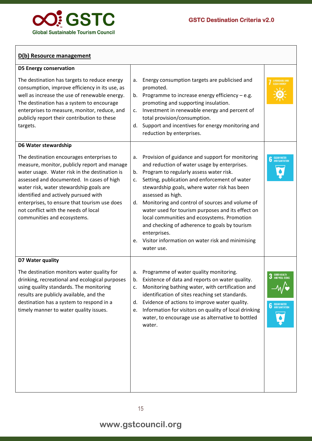

#### **D(b) Resource management**

| <b>D5 Energy conservation</b>                                                                                                                                                                                                                                                                                                                                                                     |                            |                                                                                                                                                                                                                                                                                                                                                                                                                                                                                                                                                             |                                                              |
|---------------------------------------------------------------------------------------------------------------------------------------------------------------------------------------------------------------------------------------------------------------------------------------------------------------------------------------------------------------------------------------------------|----------------------------|-------------------------------------------------------------------------------------------------------------------------------------------------------------------------------------------------------------------------------------------------------------------------------------------------------------------------------------------------------------------------------------------------------------------------------------------------------------------------------------------------------------------------------------------------------------|--------------------------------------------------------------|
| The destination has targets to reduce energy<br>consumption, improve efficiency in its use, as<br>well as increase the use of renewable energy.<br>The destination has a system to encourage<br>enterprises to measure, monitor, reduce, and<br>publicly report their contribution to these<br>targets.                                                                                           | a.<br>b.<br>c.<br>d.       | Energy consumption targets are publicised and<br>promoted.<br>Programme to increase energy efficiency $-$ e.g.<br>promoting and supporting insulation.<br>Investment in renewable energy and percent of<br>total provision/consumption.<br>Support and incentives for energy monitoring and<br>reduction by enterprises.                                                                                                                                                                                                                                    | AFFORDABLE AND<br>CLEAN ENERGY                               |
| D6 Water stewardship                                                                                                                                                                                                                                                                                                                                                                              |                            |                                                                                                                                                                                                                                                                                                                                                                                                                                                                                                                                                             |                                                              |
| The destination encourages enterprises to<br>measure, monitor, publicly report and manage<br>water usage. Water risk in the destination is<br>assessed and documented. In cases of high<br>water risk, water stewardship goals are<br>identified and actively pursued with<br>enterprises, to ensure that tourism use does<br>not conflict with the needs of local<br>communities and ecosystems. | a.<br>b.<br>c.<br>d.<br>e. | Provision of guidance and support for monitoring<br>and reduction of water usage by enterprises.<br>Program to regularly assess water risk.<br>Setting, publication and enforcement of water<br>stewardship goals, where water risk has been<br>assessed as high.<br>Monitoring and control of sources and volume of<br>water used for tourism purposes and its effect on<br>local communities and ecosystems. Promotion<br>and checking of adherence to goals by tourism<br>enterprises.<br>Visitor information on water risk and minimising<br>water use. | <b>6</b> CLEAN WATER                                         |
| D7 Water quality                                                                                                                                                                                                                                                                                                                                                                                  |                            |                                                                                                                                                                                                                                                                                                                                                                                                                                                                                                                                                             |                                                              |
| The destination monitors water quality for<br>drinking, recreational and ecological purposes<br>using quality standards. The monitoring<br>results are publicly available, and the<br>destination has a system to respond in a<br>timely manner to water quality issues.                                                                                                                          | a.<br>b.<br>c.<br>d.<br>e. | Programme of water quality monitoring.<br>Existence of data and reports on water quality.<br>Monitoring bathing water, with certification and<br>identification of sites reaching set standards.<br>Evidence of actions to improve water quality.<br>Information for visitors on quality of local drinking<br>water, to encourage use as alternative to bottled<br>water.                                                                                                                                                                                   | <b>GOOD HEALTH</b><br>AND WELL-BEING<br><b>6</b> CLEAN WATER |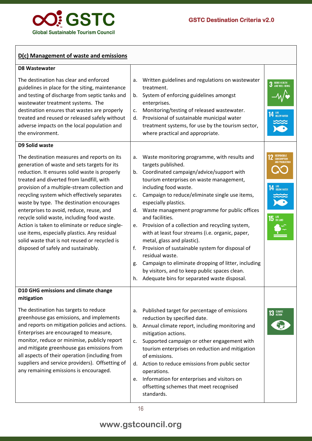

#### **D(c) Management of waste and emissions D8 Wastewater** The destination has clear and enforced guidelines in place for the siting, maintenance and testing of discharge from septic tanks and wastewater treatment systems. The destination ensures that wastes are properly treated and reused or released safely without adverse impacts on the local population and the environment. a. Written guidelines and regulations on wastewater treatment. b. System of enforcing guidelines amongst enterprises. c. Monitoring/testing of released wastewater. d. Provisional of sustainable municipal water treatment systems, for use by the tourism sector, where practical and appropriate. **D9 Solid waste** The destination measures and reports on its generation of waste and sets targets for its reduction. It ensures solid waste is properly treated and diverted from landfill, with provision of a multiple-stream collection and recycling system which effectively separates waste by type. The destination encourages enterprises to avoid, reduce, reuse, and recycle solid waste, including food waste. Action is taken to eliminate or reduce singleuse items, especially plastics. Any residual solid waste that is not reused or recycled is disposed of safely and sustainably. a. Waste monitoring programme, with results and targets published. b. Coordinated campaign/advice/support with tourism enterprises on waste management, including food waste. c. Campaign to reduce/eliminate single use items, especially plastics. d. Waste management programme for public offices and facilities. e. Provision of a collection and recycling system, with at least four streams (i.e. organic, paper, metal, glass and plastic). f. Provision of sustainable system for disposal of residual waste. g. Campaign to eliminate dropping of litter, including by visitors, and to keep public spaces clean. h. Adequate bins for separated waste disposal. **D10 GHG emissions and climate change mitigation**  The destination has targets to reduce greenhouse gas emissions, and implements and reports on mitigation policies and actions. Enterprises are encouraged to measure, monitor, reduce or minimise, publicly report and mitigate greenhouse gas emissions from all aspects of their operation (including from suppliers and service providers). Offsetting of any remaining emissions is encouraged. a. Published target for percentage of emissions reduction by specified date. b. Annual climate report, including monitoring and mitigation actions. c. Supported campaign or other engagement with tourism enterprises on reduction and mitigation of emissions. d. Action to reduce emissions from public sector operations. e. Information for enterprises and visitors on offsetting schemes that meet recognised standards.